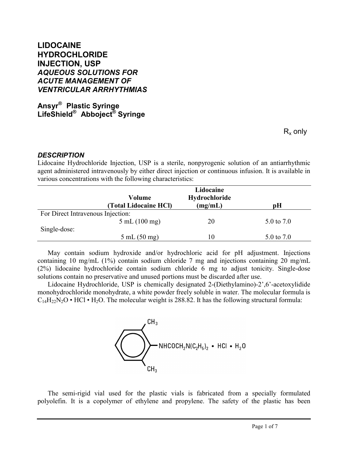# **LIDOCAINE HYDROCHLORIDE INJECTION, USP** *AQUEOUS SOLUTIONS FOR ACUTE MANAGEMENT OF VENTRICULAR ARRHYTHMIAS*

**Ansyr ® Plastic Syringe LifeShield® Abboject® Syringe**

 ${\sf R}_{\sf x}$  only

#### *DESCRIPTION*

j

Lidocaine Hydrochloride Injection, USP is a sterile, nonpyrogenic solution of an antiarrhythmic agent administered intravenously by either direct injection or continuous infusion. It is available in various concentrations with the following characteristics:

|                                   | Lidocaine                       |               |            |  |  |
|-----------------------------------|---------------------------------|---------------|------------|--|--|
|                                   | Volume                          | Hydrochloride |            |  |  |
|                                   | (Total Lidocaine HCl)           | (mg/mL)       | рH         |  |  |
| For Direct Intravenous Injection: |                                 |               |            |  |  |
|                                   | $5 \text{ mL} (100 \text{ mg})$ | 20            | 5.0 to 7.0 |  |  |
| Single-dose:                      |                                 |               |            |  |  |
|                                   | $5 \text{ mL} (50 \text{ mg})$  | 10            | 5.0 to 7.0 |  |  |

May contain sodium hydroxide and/or hydrochloric acid for pH adjustment. Injections containing 10 mg/mL (1%) contain sodium chloride 7 mg and injections containing 20 mg/mL (2%) lidocaine hydrochloride contain sodium chloride 6 mg to adjust tonicity. Single-dose solutions contain no preservative and unused portions must be discarded after use.

Lidocaine Hydrochloride, USP is chemically designated 2-(Diethylamino)-2',6'-acetoxylidide monohydrochloride monohydrate, a white powder freely soluble in water. The molecular formula is  $C_{14}H_{22}N_2O \cdot HCl \cdot H_2O$ . The molecular weight is 288.82. It has the following structural formula:



The semi-rigid vial used for the plastic vials is fabricated from a specially formulated polyolefin. It is a copolymer of ethylene and propylene. The safety of the plastic has been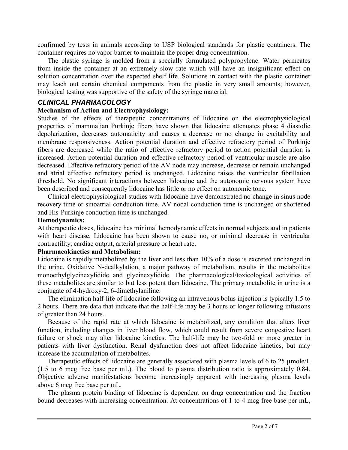confirmed by tests in animals according to USP biological standards for plastic containers. The container requires no vapor barrier to maintain the proper drug concentration.

The plastic syringe is molded from a specially formulated polypropylene. Water permeates from inside the container at an extremely slow rate which will have an insignificant effect on solution concentration over the expected shelf life. Solutions in contact with the plastic container may leach out certain chemical components from the plastic in very small amounts; however, biological testing was supportive of the safety of the syringe material.

#### *CLINICAL PHARMACOLOGY*

#### **Mechanism of Action and Electrophysiology:**

Studies of the effects of therapeutic concentrations of lidocaine on the electrophysiological properties of mammalian Purkinje fibers have shown that lidocaine attenuates phase 4 diastolic depolarization, decreases automaticity and causes a decrease or no change in excitability and membrane responsiveness. Action potential duration and effective refractory period of Purkinje fibers are decreased while the ratio of effective refractory period to action potential duration is increased. Action potential duration and effective refractory period of ventricular muscle are also decreased. Effective refractory period of the AV node may increase, decrease or remain unchanged and atrial effective refractory period is unchanged. Lidocaine raises the ventricular fibrillation threshold. No significant interactions between lidocaine and the autonomic nervous system have been described and consequently lidocaine has little or no effect on autonomic tone.

Clinical electrophysiological studies with lidocaine have demonstrated no change in sinus node recovery time or sinoatrial conduction time. AV nodal conduction time is unchanged or shortened and His-Purkinje conduction time is unchanged.

#### **Hemodynamics:**

j

At therapeutic doses, lidocaine has minimal hemodynamic effects in normal subjects and in patients with heart disease. Lidocaine has been shown to cause no, or minimal decrease in ventricular contractility, cardiac output, arterial pressure or heart rate.

#### **Pharmacokinetics and Metabolism:**

Lidocaine is rapidly metabolized by the liver and less than 10% of a dose is excreted unchanged in the urine. Oxidative N-dealkylation, a major pathway of metabolism, results in the metabolites monoethylglycinexylidide and glycinexylidide. The pharmacological/toxicological activities of these metabolites are similar to but less potent than lidocaine. The primary metabolite in urine is a conjugate of 4-hydroxy-2, 6-dimethylaniline.

The elimination half-life of lidocaine following an intravenous bolus injection is typically 1.5 to 2 hours. There are data that indicate that the half-life may be 3 hours or longer following infusions of greater than 24 hours.

Because of the rapid rate at which lidocaine is metabolized, any condition that alters liver function, including changes in liver blood flow, which could result from severe congestive heart failure or shock may alter lidocaine kinetics. The half-life may be two-fold or more greater in patients with liver dysfunction. Renal dysfunction does not affect lidocaine kinetics, but may increase the accumulation of metabolites.

Therapeutic effects of lidocaine are generally associated with plasma levels of 6 to 25 µmole/L (1.5 to 6 mcg free base per mL). The blood to plasma distribution ratio is approximately 0.84. Objective adverse manifestations become increasingly apparent with increasing plasma levels above 6 mcg free base per mL.

The plasma protein binding of lidocaine is dependent on drug concentration and the fraction bound decreases with increasing concentration. At concentrations of 1 to 4 mcg free base per mL,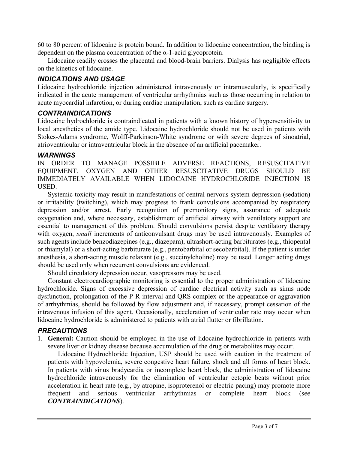60 to 80 percent of lidocaine is protein bound. In addition to lidocaine concentration, the binding is dependent on the plasma concentration of the α-1-acid glycoprotein.

Lidocaine readily crosses the placental and blood-brain barriers. Dialysis has negligible effects on the kinetics of lidocaine.

## *INDICATIONS AND USAGE*

Lidocaine hydrochloride injection administered intravenously or intramuscularly, is specifically indicated in the acute management of ventricular arrhythmias such as those occurring in relation to acute myocardial infarction, or during cardiac manipulation, such as cardiac surgery.

## *CONTRAINDICATIONS*

Lidocaine hydrochloride is contraindicated in patients with a known history of hypersensitivity to local anesthetics of the amide type. Lidocaine hydrochloride should not be used in patients with Stokes-Adams syndrome, Wolff-Parkinson-White syndrome or with severe degrees of sinoatrial, atrioventricular or intraventricular block in the absence of an artificial pacemaker.

#### *WARNINGS*

IN ORDER TO MANAGE POSSIBLE ADVERSE REACTIONS, RESUSCITATIVE EQUIPMENT, OXYGEN AND OTHER RESUSCITATIVE DRUGS SHOULD BE IMMEDIATELY AVAILABLE WHEN LIDOCAINE HYDROCHLORIDE INJECTION IS **USED.** 

Systemic toxicity may result in manifestations of central nervous system depression (sedation) or irritability (twitching), which may progress to frank convulsions accompanied by respiratory depression and/or arrest. Early recognition of premonitory signs, assurance of adequate oxygenation and, where necessary, establishment of artificial airway with ventilatory support are essential to management of this problem. Should convulsions persist despite ventilatory therapy with oxygen, *small* increments of anticonvulsant drugs may be used intravenously. Examples of such agents include benzodiazepines (e.g., diazepam), ultrashort-acting barbiturates (e.g., thiopental or thiamylal) or a short-acting barbiturate (e.g., pentobarbital or secobarbital). If the patient is under anesthesia, a short-acting muscle relaxant (e.g., succinylcholine) may be used. Longer acting drugs should be used only when recurrent convulsions are evidenced.

Should circulatory depression occur, vasopressors may be used.

Constant electrocardiographic monitoring is essential to the proper administration of lidocaine hydrochloride. Signs of excessive depression of cardiac electrical activity such as sinus node dysfunction, prolongation of the P-R interval and QRS complex or the appearance or aggravation of arrhythmias, should be followed by flow adjustment and, if necessary, prompt cessation of the intravenous infusion of this agent. Occasionally, acceleration of ventricular rate may occur when lidocaine hydrochloride is administered to patients with atrial flutter or fibrillation.

## *PRECAUTIONS*

j

1. **General:** Caution should be employed in the use of lidocaine hydrochloride in patients with severe liver or kidney disease because accumulation of the drug or metabolites may occur.

 Lidocaine Hydrochloride Injection, USP should be used with caution in the treatment of patients with hypovolemia, severe congestive heart failure, shock and all forms of heart block. In patients with sinus bradycardia or incomplete heart block, the administration of lidocaine hydrochloride intravenously for the elimination of ventricular ectopic beats without prior acceleration in heart rate (e.g., by atropine, isoproterenol or electric pacing) may promote more frequent and serious ventricular arrhythmias or complete heart block (see *CONTRAINDICATIONS*).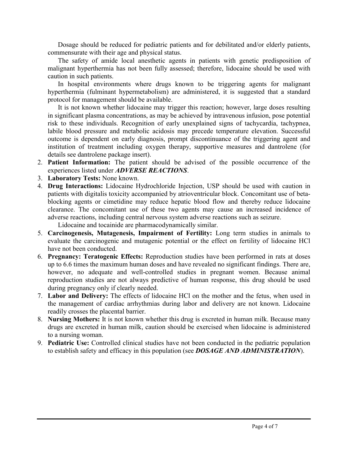Dosage should be reduced for pediatric patients and for debilitated and/or elderly patients, commensurate with their age and physical status.

 The safety of amide local anesthetic agents in patients with genetic predisposition of malignant hyperthermia has not been fully assessed; therefore, lidocaine should be used with caution in such patients.

In hospital environments where drugs known to be triggering agents for malignant hyperthermia (fulminant hypermetabolism) are administered, it is suggested that a standard protocol for management should be available.

 It is not known whether lidocaine may trigger this reaction; however, large doses resulting in significant plasma concentrations, as may be achieved by intravenous infusion, pose potential risk to these individuals. Recognition of early unexplained signs of tachycardia, tachypnea, labile blood pressure and metabolic acidosis may precede temperature elevation. Successful outcome is dependent on early diagnosis, prompt discontinuance of the triggering agent and institution of treatment including oxygen therapy, supportive measures and dantrolene (for details see dantrolene package insert).

- 2. **Patient Information:** The patient should be advised of the possible occurrence of the experiences listed under *ADVERSE REACTIONS*.
- 3. **Laboratory Tests:** None known.

j

- 4. **Drug Interactions:** Lidocaine Hydrochloride Injection, USP should be used with caution in patients with digitalis toxicity accompanied by atrioventricular block. Concomitant use of betablocking agents or cimetidine may reduce hepatic blood flow and thereby reduce lidocaine clearance. The concomitant use of these two agents may cause an increased incidence of adverse reactions, including central nervous system adverse reactions such as seizure. Lidocaine and tocainide are pharmacodynamically similar.
- 5. **Carcinogenesis, Mutagenesis, Impairment of Fertility:** Long term studies in animals to evaluate the carcinogenic and mutagenic potential or the effect on fertility of lidocaine HCl have not been conducted.
- 6. **Pregnancy: Teratogenic Effects:** Reproduction studies have been performed in rats at doses up to 6.6 times the maximum human doses and have revealed no significant findings. There are, however, no adequate and well-controlled studies in pregnant women. Because animal reproduction studies are not always predictive of human response, this drug should be used during pregnancy only if clearly needed.
- 7. **Labor and Delivery:** The effects of lidocaine HCl on the mother and the fetus, when used in the management of cardiac arrhythmias during labor and delivery are not known. Lidocaine readily crosses the placental barrier.
- 8. **Nursing Mothers:** It is not known whether this drug is excreted in human milk. Because many drugs are excreted in human milk, caution should be exercised when lidocaine is administered to a nursing woman.
- 9. **Pediatric Use:** Controlled clinical studies have not been conducted in the pediatric population to establish safety and efficacy in this population (see *DOSAGE AND ADMINISTRATION*).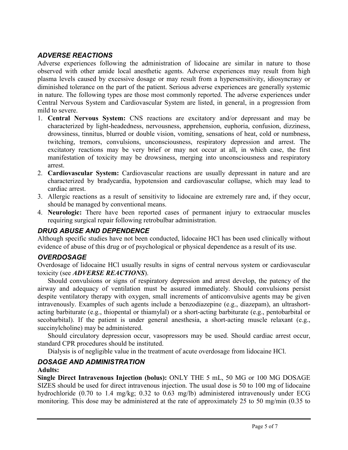# *ADVERSE REACTIONS*

Adverse experiences following the administration of lidocaine are similar in nature to those observed with other amide local anesthetic agents. Adverse experiences may result from high plasma levels caused by excessive dosage or may result from a hypersensitivity, idiosyncrasy or diminished tolerance on the part of the patient. Serious adverse experiences are generally systemic in nature. The following types are those most commonly reported. The adverse experiences under Central Nervous System and Cardiovascular System are listed, in general, in a progression from mild to severe.

- 1. **Central Nervous System:** CNS reactions are excitatory and/or depressant and may be characterized by light-headedness, nervousness, apprehension, euphoria, confusion, dizziness, drowsiness, tinnitus, blurred or double vision, vomiting, sensations of heat, cold or numbness, twitching, tremors, convulsions, unconsciousness, respiratory depression and arrest. The excitatory reactions may be very brief or may not occur at all, in which case, the first manifestation of toxicity may be drowsiness, merging into unconsciousness and respiratory arrest.
- 2. **Cardiovascular System:** Cardiovascular reactions are usually depressant in nature and are characterized by bradycardia, hypotension and cardiovascular collapse, which may lead to cardiac arrest.
- 3. Allergic reactions as a result of sensitivity to lidocaine are extremely rare and, if they occur, should be managed by conventional means.
- 4. **Neurologic:** There have been reported cases of permanent injury to extraocular muscles requiring surgical repair following retrobulbar administration.

## *DRUG ABUSE AND DEPENDENCE*

Although specific studies have not been conducted, lidocaine HCl has been used clinically without evidence of abuse of this drug or of psychological or physical dependence as a result of its use.

## *OVERDOSAGE*

Overdosage of lidocaine HCl usually results in signs of central nervous system or cardiovascular toxicity (see *ADVERSE REACTIONS*).

Should convulsions or signs of respiratory depression and arrest develop, the patency of the airway and adequacy of ventilation must be assured immediately. Should convulsions persist despite ventilatory therapy with oxygen, small increments of anticonvulsive agents may be given intravenously. Examples of such agents include a benzodiazepine (e.g., diazepam), an ultrashortacting barbiturate (e.g., thiopental or thiamylal) or a short-acting barbiturate (e.g., pentobarbital or secobarbital). If the patient is under general anesthesia, a short-acting muscle relaxant (e.g., succinylcholine) may be administered.

Should circulatory depression occur, vasopressors may be used. Should cardiac arrest occur, standard CPR procedures should be instituted.

Dialysis is of negligible value in the treatment of acute overdosage from lidocaine HCl.

# *DOSAGE AND ADMINISTRATION*

#### **Adults:**

j

**Single Direct Intravenous Injection (bolus):** ONLY THE 5 mL, 50 MG or 100 MG DOSAGE SIZES should be used for direct intravenous injection. The usual dose is 50 to 100 mg of lidocaine hydrochloride (0.70 to 1.4 mg/kg; 0.32 to 0.63 mg/lb) administered intravenously under ECG monitoring. This dose may be administered at the rate of approximately 25 to 50 mg/min (0.35 to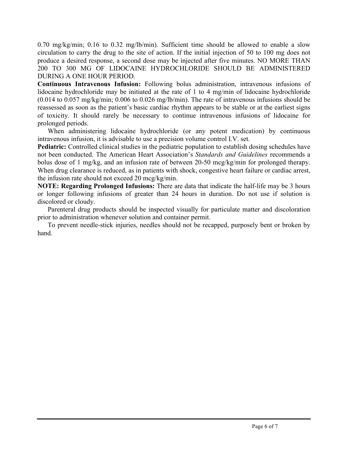0.70 mg/kg/min; 0.16 to 0.32 mg/lb/min). Sufficient time should be allowed to enable a slow circulation to carry the drug to the site of action. If the initial injection of 50 to 100 mg does not produce a desired response, a second dose may be injected after five minutes. NO MORE THAN 200 TO 300 MG OF LIDOCAINE HYDROCHLORIDE SHOULD BE ADMINISTERED DURING A ONE HOUR PERIOD.

**Continuous Intravenous Infusion:** Following bolus administration, intravenous infusions of lidocaine hydrochloride may be initiated at the rate of 1 to 4 mg/min of lidocaine hydrochloride (0.014 to 0.057 mg/kg/min; 0.006 to 0.026 mg/lb/min). The rate of intravenous infusions should be reassessed as soon as the patient's basic cardiac rhythm appears to be stable or at the earliest signs of toxicity. It should rarely be necessary to continue intravenous infusions of lidocaine for prolonged periods.

When administering lidocaine hydrochloride (or any potent medication) by continuous intravenous infusion, it is advisable to use a precision volume control I.V. set.

**Pediatric:** Controlled clinical studies in the pediatric population to establish dosing schedules have not been conducted. The American Heart Association's *Standards and Guidelines* recommends a bolus dose of 1 mg/kg, and an infusion rate of between 20-50 mcg/kg/min for prolonged therapy. When drug clearance is reduced, as in patients with shock, congestive heart failure or cardiac arrest, the infusion rate should not exceed 20 mcg/kg/min.

**NOTE: Regarding Prolonged Infusions:** There are data that indicate the half-life may be 3 hours or longer following infusions of greater than 24 hours in duration. Do not use if solution is discolored or cloudy.

Parenteral drug products should be inspected visually for particulate matter and discoloration prior to administration whenever solution and container permit.

To prevent needle-stick injuries, needles should not be recapped, purposely bent or broken by hand.

j